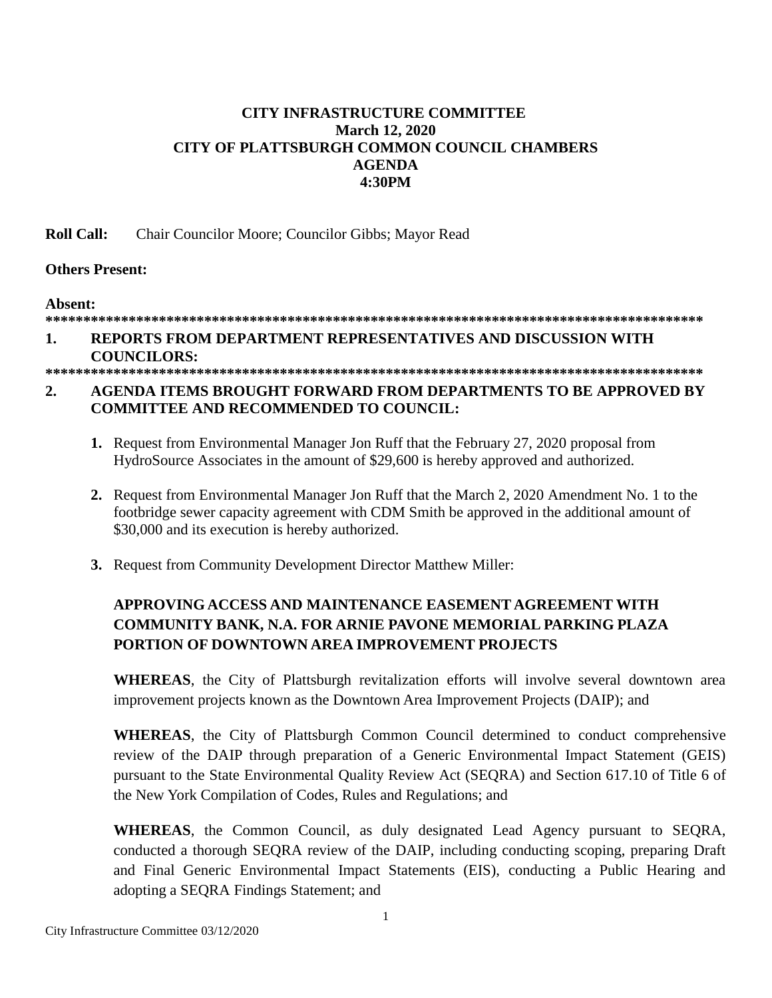# **CITY INFRASTRUCTURE COMMITTEE March 12, 2020 CITY OF PLATTSBURGH COMMON COUNCIL CHAMBERS AGENDA 4:30PM**

**Roll Call:** Chair Councilor Moore; Councilor Gibbs; Mayor Read

## **Others Present:**

**Absent:**

## **\*\*\*\*\*\*\*\*\*\*\*\*\*\*\*\*\*\*\*\*\*\*\*\*\*\*\*\*\*\*\*\*\*\*\*\*\*\*\*\*\*\*\*\*\*\*\*\*\*\*\*\*\*\*\*\*\*\*\*\*\*\*\*\*\*\*\*\*\*\*\*\*\*\*\*\*\*\*\*\*\*\*\*\*\*\*\***

# **1. REPORTS FROM DEPARTMENT REPRESENTATIVES AND DISCUSSION WITH COUNCILORS:**

## **\*\*\*\*\*\*\*\*\*\*\*\*\*\*\*\*\*\*\*\*\*\*\*\*\*\*\*\*\*\*\*\*\*\*\*\*\*\*\*\*\*\*\*\*\*\*\*\*\*\*\*\*\*\*\*\*\*\*\*\*\*\*\*\*\*\*\*\*\*\*\*\*\*\*\*\*\*\*\*\*\*\*\*\*\*\*\***

# **2. AGENDA ITEMS BROUGHT FORWARD FROM DEPARTMENTS TO BE APPROVED BY COMMITTEE AND RECOMMENDED TO COUNCIL:**

- **1.** Request from Environmental Manager Jon Ruff that the February 27, 2020 proposal from HydroSource Associates in the amount of \$29,600 is hereby approved and authorized.
- **2.** Request from Environmental Manager Jon Ruff that the March 2, 2020 Amendment No. 1 to the footbridge sewer capacity agreement with CDM Smith be approved in the additional amount of \$30,000 and its execution is hereby authorized.
- **3.** Request from Community Development Director Matthew Miller:

# **APPROVING ACCESS AND MAINTENANCE EASEMENT AGREEMENT WITH COMMUNITY BANK, N.A. FOR ARNIE PAVONE MEMORIAL PARKING PLAZA PORTION OF DOWNTOWN AREA IMPROVEMENT PROJECTS**

**WHEREAS**, the City of Plattsburgh revitalization efforts will involve several downtown area improvement projects known as the Downtown Area Improvement Projects (DAIP); and

**WHEREAS**, the City of Plattsburgh Common Council determined to conduct comprehensive review of the DAIP through preparation of a Generic Environmental Impact Statement (GEIS) pursuant to the State Environmental Quality Review Act (SEQRA) and Section 617.10 of Title 6 of the New York Compilation of Codes, Rules and Regulations; and

**WHEREAS**, the Common Council, as duly designated Lead Agency pursuant to SEQRA, conducted a thorough SEQRA review of the DAIP, including conducting scoping, preparing Draft and Final Generic Environmental Impact Statements (EIS), conducting a Public Hearing and adopting a SEQRA Findings Statement; and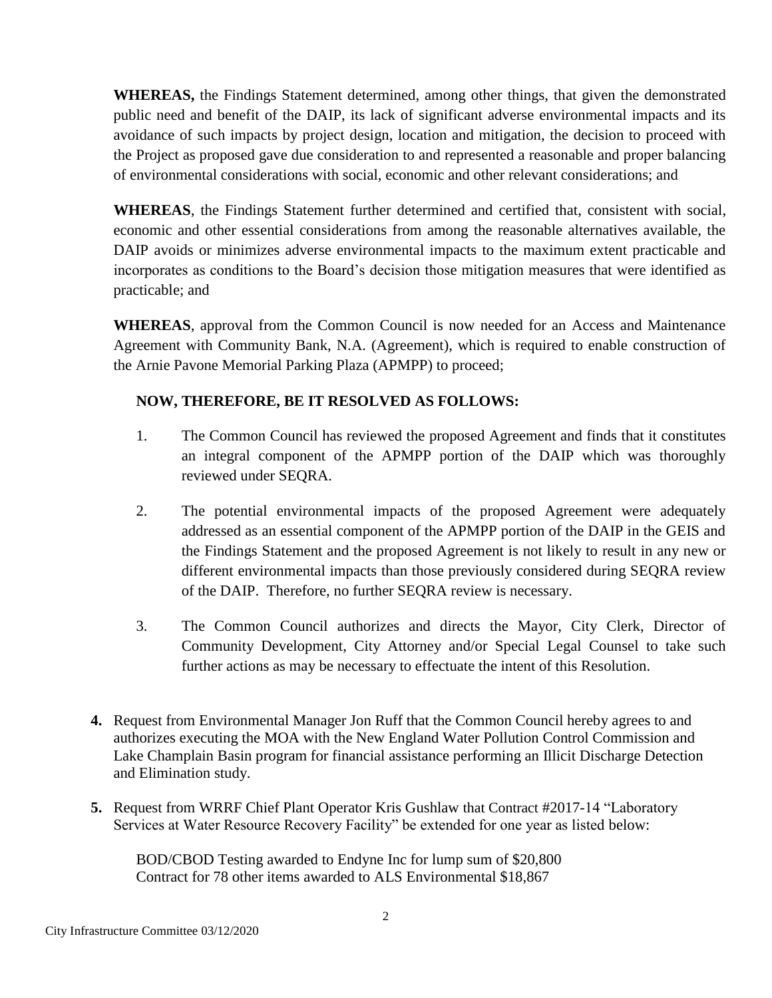**WHEREAS,** the Findings Statement determined, among other things, that given the demonstrated public need and benefit of the DAIP, its lack of significant adverse environmental impacts and its avoidance of such impacts by project design, location and mitigation, the decision to proceed with the Project as proposed gave due consideration to and represented a reasonable and proper balancing of environmental considerations with social, economic and other relevant considerations; and

**WHEREAS**, the Findings Statement further determined and certified that, consistent with social, economic and other essential considerations from among the reasonable alternatives available, the DAIP avoids or minimizes adverse environmental impacts to the maximum extent practicable and incorporates as conditions to the Board's decision those mitigation measures that were identified as practicable; and

**WHEREAS**, approval from the Common Council is now needed for an Access and Maintenance Agreement with Community Bank, N.A. (Agreement), which is required to enable construction of the Arnie Pavone Memorial Parking Plaza (APMPP) to proceed;

# **NOW, THEREFORE, BE IT RESOLVED AS FOLLOWS:**

- 1. The Common Council has reviewed the proposed Agreement and finds that it constitutes an integral component of the APMPP portion of the DAIP which was thoroughly reviewed under SEQRA.
- 2. The potential environmental impacts of the proposed Agreement were adequately addressed as an essential component of the APMPP portion of the DAIP in the GEIS and the Findings Statement and the proposed Agreement is not likely to result in any new or different environmental impacts than those previously considered during SEQRA review of the DAIP. Therefore, no further SEQRA review is necessary.
- 3. The Common Council authorizes and directs the Mayor, City Clerk, Director of Community Development, City Attorney and/or Special Legal Counsel to take such further actions as may be necessary to effectuate the intent of this Resolution.
- **4.** Request from Environmental Manager Jon Ruff that the Common Council hereby agrees to and authorizes executing the MOA with the New England Water Pollution Control Commission and Lake Champlain Basin program for financial assistance performing an Illicit Discharge Detection and Elimination study.
- **5.** Request from WRRF Chief Plant Operator Kris Gushlaw that Contract #2017-14 "Laboratory Services at Water Resource Recovery Facility" be extended for one year as listed below:

 BOD/CBOD Testing awarded to Endyne Inc for lump sum of \$20,800 Contract for 78 other items awarded to ALS Environmental \$18,867